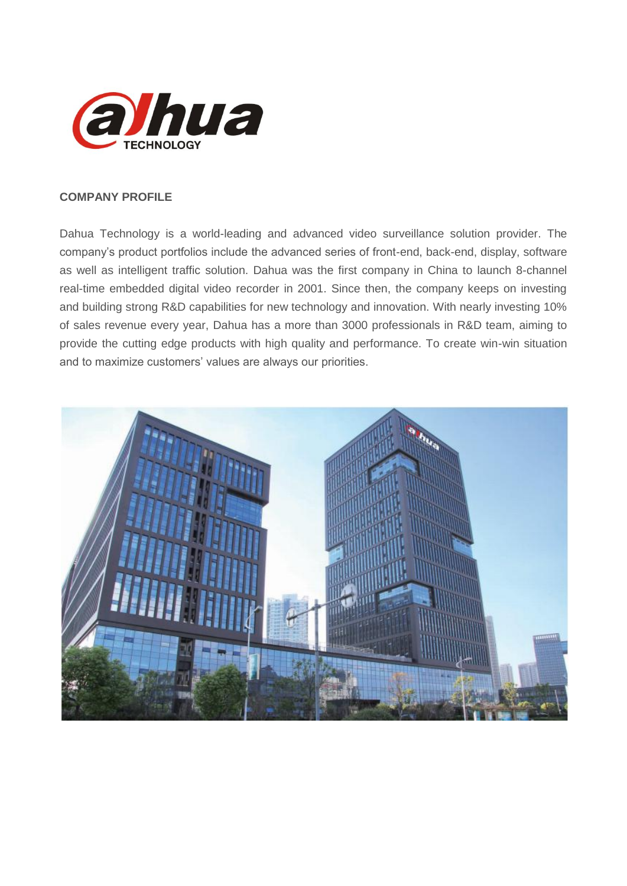

## **COMPANY PROFILE**

Dahua Technology is a world-leading and advanced video surveillance solution provider. The company's product portfolios include the advanced series of front-end, back-end, display, software as well as intelligent traffic solution. Dahua was the first company in China to launch 8-channel real-time embedded digital video recorder in 2001. Since then, the company keeps on investing and building strong R&D capabilities for new technology and innovation. With nearly investing 10% of sales revenue every year, Dahua has a more than 3000 professionals in R&D team, aiming to provide the cutting edge products with high quality and performance. To create win-win situation and to maximize customers' values are always our priorities.